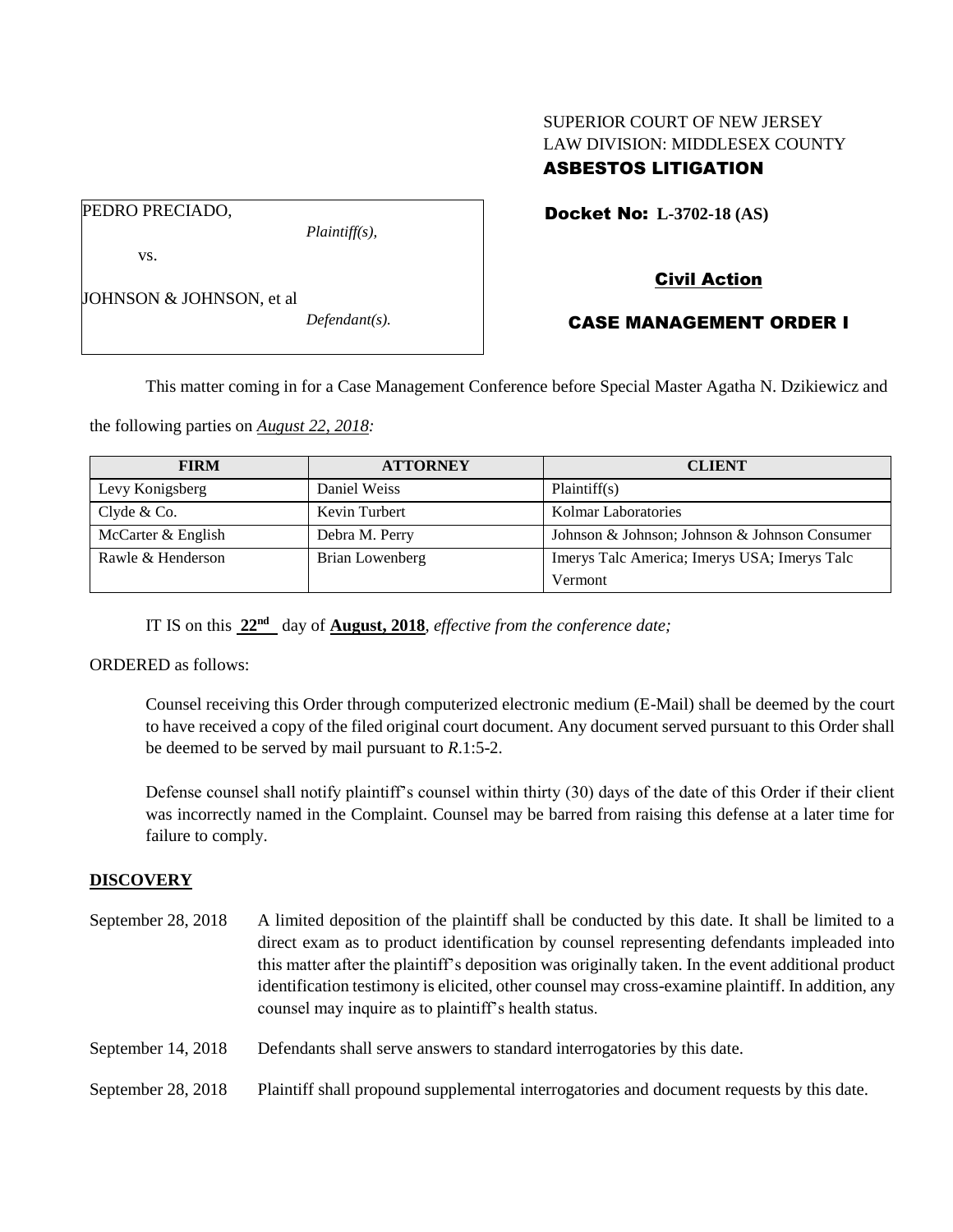## SUPERIOR COURT OF NEW JERSEY LAW DIVISION: MIDDLESEX COUNTY ASBESTOS LITIGATION

PEDRO PRECIADO,

vs.

*Plaintiff(s),*

Docket No: **L-3702-18 (AS)** 

JOHNSON & JOHNSON, et al.

*Defendant(s).*

# CASE MANAGEMENT ORDER I

Civil Action

This matter coming in for a Case Management Conference before Special Master Agatha N. Dzikiewicz and

the following parties on *August 22, 2018:*

| <b>FIRM</b>        | <b>ATTORNEY</b> | <b>CLIENT</b>                                 |
|--------------------|-----------------|-----------------------------------------------|
| Levy Konigsberg    | Daniel Weiss    | Plaintiff(s)                                  |
| Clyde $& Co.$      | Kevin Turbert   | <b>Kolmar Laboratories</b>                    |
| McCarter & English | Debra M. Perry  | Johnson & Johnson; Johnson & Johnson Consumer |
| Rawle & Henderson  | Brian Lowenberg | Imerys Talc America; Imerys USA; Imerys Talc  |
|                    |                 | Vermont                                       |

IT IS on this **22nd** day of **August, 2018**, *effective from the conference date;*

ORDERED as follows:

Counsel receiving this Order through computerized electronic medium (E-Mail) shall be deemed by the court to have received a copy of the filed original court document. Any document served pursuant to this Order shall be deemed to be served by mail pursuant to *R*.1:5-2.

Defense counsel shall notify plaintiff's counsel within thirty (30) days of the date of this Order if their client was incorrectly named in the Complaint. Counsel may be barred from raising this defense at a later time for failure to comply.

## **DISCOVERY**

- September 28, 2018 A limited deposition of the plaintiff shall be conducted by this date. It shall be limited to a direct exam as to product identification by counsel representing defendants impleaded into this matter after the plaintiff's deposition was originally taken. In the event additional product identification testimony is elicited, other counsel may cross-examine plaintiff. In addition, any counsel may inquire as to plaintiff's health status.
- September 14, 2018 Defendants shall serve answers to standard interrogatories by this date.
- September 28, 2018 Plaintiff shall propound supplemental interrogatories and document requests by this date.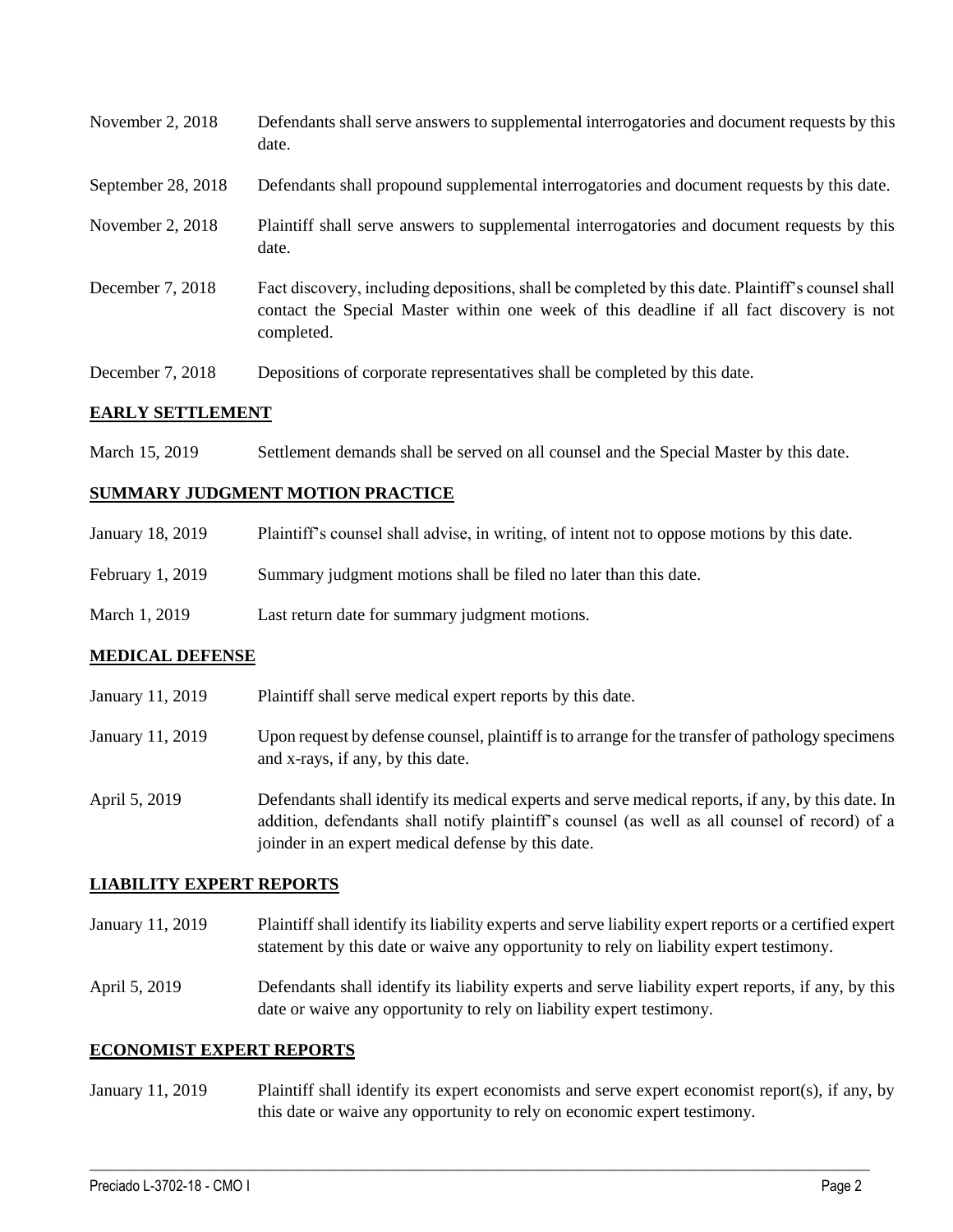| November $2, 2018$ | Defendants shall serve answers to supplemental interrogatories and document requests by this<br>date.                                                                                                       |
|--------------------|-------------------------------------------------------------------------------------------------------------------------------------------------------------------------------------------------------------|
| September 28, 2018 | Defendants shall propound supplemental interrogatories and document requests by this date.                                                                                                                  |
| November $2, 2018$ | Plaintiff shall serve answers to supplemental interrogatories and document requests by this<br>date.                                                                                                        |
| December 7, 2018   | Fact discovery, including depositions, shall be completed by this date. Plaintiff's counsel shall<br>contact the Special Master within one week of this deadline if all fact discovery is not<br>completed. |

December 7, 2018 Depositions of corporate representatives shall be completed by this date.

#### **EARLY SETTLEMENT**

March 15, 2019 Settlement demands shall be served on all counsel and the Special Master by this date.

#### **SUMMARY JUDGMENT MOTION PRACTICE**

| January 18, 2019 | Plaintiff's counsel shall advise, in writing, of intent not to oppose motions by this date. |
|------------------|---------------------------------------------------------------------------------------------|
| February 1, 2019 | Summary judgment motions shall be filed no later than this date.                            |
| March 1, 2019    | Last return date for summary judgment motions.                                              |

## **MEDICAL DEFENSE**

| January 11, 2019 | Plaintiff shall serve medical expert reports by this date.                                                                                                                                         |
|------------------|----------------------------------------------------------------------------------------------------------------------------------------------------------------------------------------------------|
| January 11, 2019 | Upon request by defense counsel, plaintiff is to arrange for the transfer of pathology specimens<br>and x-rays, if any, by this date.                                                              |
| April 5, 2019    | Defendants shall identify its medical experts and serve medical reports, if any, by this date. In<br>addition, defendants shall notify plaintiff's counsel (as well as all counsel of record) of a |

#### **LIABILITY EXPERT REPORTS**

January 11, 2019 Plaintiff shall identify its liability experts and serve liability expert reports or a certified expert statement by this date or waive any opportunity to rely on liability expert testimony.

joinder in an expert medical defense by this date.

April 5, 2019 Defendants shall identify its liability experts and serve liability expert reports, if any, by this date or waive any opportunity to rely on liability expert testimony.

#### **ECONOMIST EXPERT REPORTS**

January 11, 2019 Plaintiff shall identify its expert economists and serve expert economist report(s), if any, by this date or waive any opportunity to rely on economic expert testimony.

 $\_$  ,  $\_$  ,  $\_$  ,  $\_$  ,  $\_$  ,  $\_$  ,  $\_$  ,  $\_$  ,  $\_$  ,  $\_$  ,  $\_$  ,  $\_$  ,  $\_$  ,  $\_$  ,  $\_$  ,  $\_$  ,  $\_$  ,  $\_$  ,  $\_$  ,  $\_$  ,  $\_$  ,  $\_$  ,  $\_$  ,  $\_$  ,  $\_$  ,  $\_$  ,  $\_$  ,  $\_$  ,  $\_$  ,  $\_$  ,  $\_$  ,  $\_$  ,  $\_$  ,  $\_$  ,  $\_$  ,  $\_$  ,  $\_$  ,